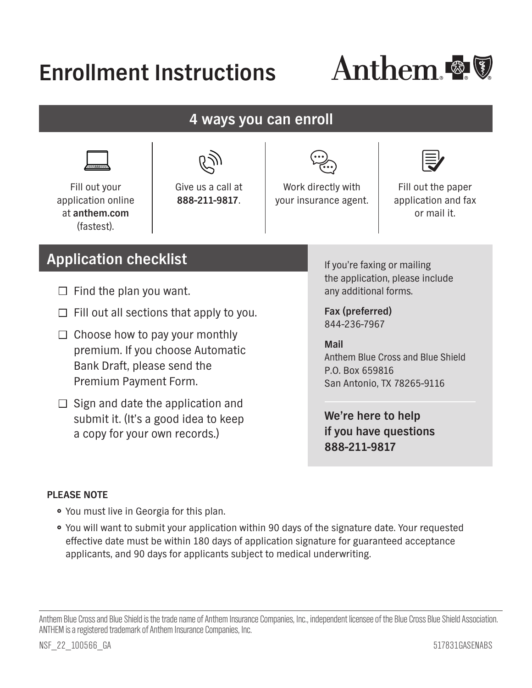# **Enrollment Instructions**



**4 ways you can enroll** 



 at **[anthem.com](http://anthem.com)** Fill out your application online (fastest).

Give us a call at **888-211-9817**.



Work directly with your insurance agent.



Fill out the paper application and fax or mail it.

## **Application checklist**

- Find the plan you want.
- Fill out all sections that apply to you.
- Choose how to pay your monthly premium. If you choose Automatic Bank Draft, please send the Premium Payment Form.
- Sign and date the application and submit it. (It's a good idea to keep a copy for your own records.)

If you're faxing or mailing the application, please include any additional forms.

**Fax (preferred)**  844-236-7967

**Mail**  Anthem Blue Cross and Blue Shield P.O. Box 659816 San Antonio, TX 78265-9116

**We're here to help if you have questions 888-211-9817** 

## **PLEASE NOTE**

- You must live in Georgia for this plan.
- . You will want to submit your application within 90 days of the signature date. Your requested effective date must be within 180 days of application signature for guaranteed acceptance applicants, and 90 days for applicants subject to medical underwriting.

Anthem Blue Cross and Blue Shield is the trade name of Anthem Insurance Companies, Inc., independent licensee of the Blue Cross Blue Shield Association. ANTHEM is a registered trademark of Anthem Insurance Companies, Inc.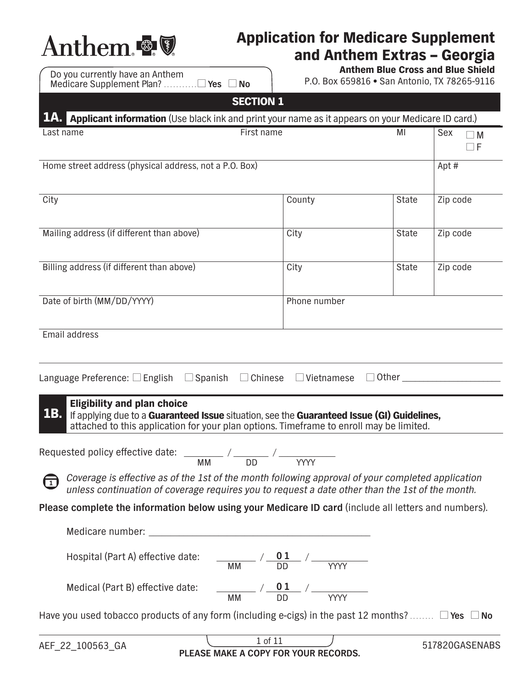

## Application for Medicare Supplement and Anthem Extras - Georgia<br>Anthem Blue Cross and Blue Shield

| <b>No</b><br><b>SECTION 1</b>   |                                                                                   |  |
|---------------------------------|-----------------------------------------------------------------------------------|--|
| Do you currently have an Anthem | Anthem Blue Cross and Blue Shield<br>P.O. Box 659816 . San Antonio, TX 78265-9116 |  |

| JLVIIVIV 4<br>1.A. Applicant information (Use black ink and print your name as it appears on your Medicare ID card.)                                                                                                               |                                                                                                                                                                                                                                                                                                                               |                     |                      |
|------------------------------------------------------------------------------------------------------------------------------------------------------------------------------------------------------------------------------------|-------------------------------------------------------------------------------------------------------------------------------------------------------------------------------------------------------------------------------------------------------------------------------------------------------------------------------|---------------------|----------------------|
| Last name                                                                                                                                                                                                                          | First name                                                                                                                                                                                                                                                                                                                    | ΜI                  | Sex<br>$\Box$ M<br>F |
| Home street address (physical address, not a P.O. Box)                                                                                                                                                                             |                                                                                                                                                                                                                                                                                                                               |                     | Apt#                 |
| City                                                                                                                                                                                                                               | County                                                                                                                                                                                                                                                                                                                        | <b>State</b>        | Zip code             |
| Mailing address (if different than above)                                                                                                                                                                                          | City                                                                                                                                                                                                                                                                                                                          | State               | Zip code             |
| Billing address (if different than above)                                                                                                                                                                                          | City                                                                                                                                                                                                                                                                                                                          | State               | Zip code             |
| Date of birth (MM/DD/YYYY)                                                                                                                                                                                                         | Phone number                                                                                                                                                                                                                                                                                                                  |                     |                      |
| Email address<br>Language Preference: $\square$ English $\square$ Spanish                                                                                                                                                          | $\Box$ Chinese<br>$\Box$ Vietnamese                                                                                                                                                                                                                                                                                           | $\Box$ Other $\Box$ |                      |
| <b>Eligibility and plan choice</b><br>1B.<br>If applying due to a Guaranteed Issue situation, see the Guaranteed Issue (GI) Guidelines,<br>attached to this application for your plan options. Timeframe to enroll may be limited. |                                                                                                                                                                                                                                                                                                                               |                     |                      |
| Requested policy effective date: $\frac{1}{M}$ / $\frac{1}{D}$ / $\frac{1}{M}$                                                                                                                                                     |                                                                                                                                                                                                                                                                                                                               |                     |                      |
| Coverage is effective as of the 1st of the month following approval of your completed application<br>$\sqrt{1}$<br>unless continuation of coverage requires you to request a date other than the 1st of the month.                 |                                                                                                                                                                                                                                                                                                                               |                     |                      |
| Please complete the information below using your Medicare ID card (include all letters and numbers).                                                                                                                               |                                                                                                                                                                                                                                                                                                                               |                     |                      |
|                                                                                                                                                                                                                                    |                                                                                                                                                                                                                                                                                                                               |                     |                      |
| Hospital (Part A) effective date:                                                                                                                                                                                                  | $\frac{0.1}{\sqrt{100}}$ / $\frac{0.1}{\sqrt{100}}$ / $\frac{0.1}{\sqrt{100}}$ / $\frac{0.1}{\sqrt{100}}$ / $\frac{0.1}{\sqrt{100}}$ / $\frac{0.1}{\sqrt{100}}$ / $\frac{0.1}{\sqrt{100}}$ / $\frac{0.1}{\sqrt{100}}$ / $\frac{0.1}{\sqrt{100}}$ / $\frac{0.1}{\sqrt{100}}$ / $\frac{0.1}{\sqrt{100}}$ / $\frac{0.1}{\sqrt{1$ |                     |                      |
| Medical (Part B) effective date:<br>$\frac{0.1}{\sqrt{M}}$ / $\frac{0.1}{\sqrt{M}}$ / $\frac{0.1}{\sqrt{M}}$                                                                                                                       |                                                                                                                                                                                                                                                                                                                               |                     |                      |
| Have you used tobacco products of any form (including e-cigs) in the past 12 months? $\Box$ Yes $\Box$ No                                                                                                                          |                                                                                                                                                                                                                                                                                                                               |                     |                      |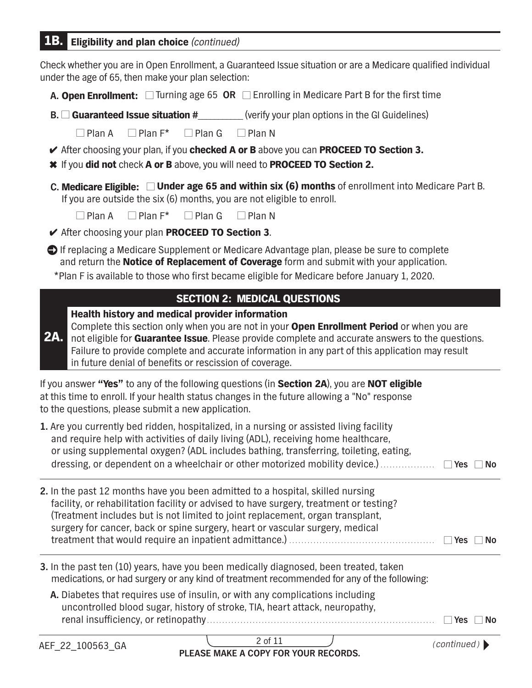## 1B. Eligibility and plan choice *(continued)*

Check whether you are in Open Enrollment, a Guaranteed Issue situation or are a Medicare qualifed individual under the age of 65, then make your plan selection:

- **A. Open Enrollment:** □ Turning age 65 OR □ Enrolling in Medicare Part B for the first time
- **B. □ Guaranteed Issue situation #** (verify your plan options in the GI Guidelines)

☐ Plan A ☐ Plan F\* ☐ Plan G ☐ Plan N

- **∕** After choosing your plan, if you checked A or B above you can PROCEED TO Section 3.
- **\*** If you did not check A or B above, you will need to PROCEED TO Section 2.
- **C.** Medicare Eligible: ☐ Under age 65 and within six (6) months of enrollment into Medicare Part B. If you are outside the six (6) months, you are not eligible to enroll.

☐ Plan A ☐ Plan F\* ☐ Plan G ☐ Plan N

- ✔ After choosing your plan PROCEED TO Section 3.
- If replacing a Medicare Supplement or Medicare Advantage plan, please be sure to complete and return the Notice of Replacement of Coverage form and submit with your application. \*Plan F is available to those who frst became eligible for Medicare before January 1, 2020.

## SECTION 2: MEDICAL QUESTIONS

Health history and medical provider information

2A. not eligible for Guarantee Issue. Please provide complete and accurate answers to the questions. Complete this section only when you are not in your **Open Enrollment Period** or when you are Failure to provide complete and accurate information in any part of this application may result in future denial of benefits or rescission of coverage.

If you answer "Yes" to any of the following questions (in Section 2A), you are NOT eligible at this time to enroll. If your health status changes in the future allowing a "No" response to the questions, please submit a new application.

| 1. Are you currently bed ridden, hospitalized, in a nursing or assisted living facility |       |     |
|-----------------------------------------------------------------------------------------|-------|-----|
| and require help with activities of daily living (ADL), receiving home healthcare,      |       |     |
| or using supplemental oxygen? (ADL includes bathing, transferring, toileting, eating,   |       |     |
| dressing, or dependent on a wheelchair or other motorized mobility device.)             | l Yes | No. |

- treatment that would require an inpatient admittance.) ................................................ ☐ **Yes** ☐ **No 2.** In the past 12 months have you been admitted to a hospital, skilled nursing facility, or rehabilitation facility or advised to have surgery, treatment or testing? (Treatment includes but is not limited to joint replacement, organ transplant, surgery for cancer, back or spine surgery, heart or vascular surgery, medical
- **3.** In the past ten (10) years, have you been medically diagnosed, been treated, taken medications, or had surgery or any kind of treatment recommended for any of the following:
	- **A.** Diabetes that requires use of insulin, or with any complications including uncontrolled blood sugar, history of stroke, TIA, heart attack, neuropathy, renal insuffciency, or retinopathy ........................................................................... ☐ **Yes** ☐ **No**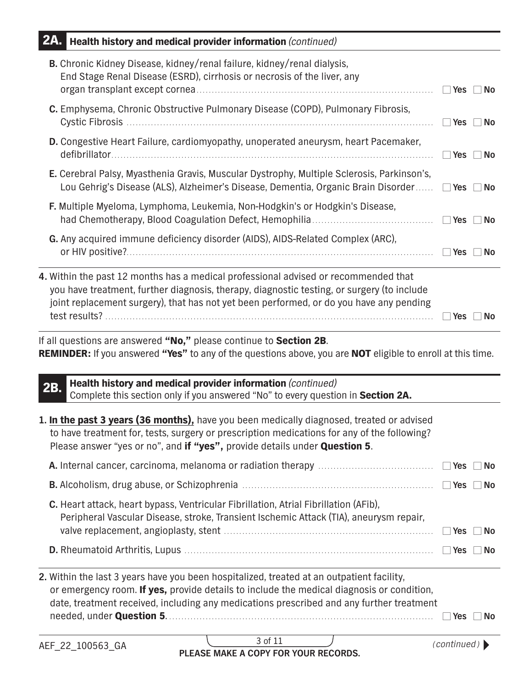| 2A.<br>Health history and medical provider information (continued)                                                                                                                                                                                                                 |                         |
|------------------------------------------------------------------------------------------------------------------------------------------------------------------------------------------------------------------------------------------------------------------------------------|-------------------------|
| B. Chronic Kidney Disease, kidney/renal failure, kidney/renal dialysis,<br>End Stage Renal Disease (ESRD), cirrhosis or necrosis of the liver, any                                                                                                                                 | Nes No                  |
| C. Emphysema, Chronic Obstructive Pulmonary Disease (COPD), Pulmonary Fibrosis,                                                                                                                                                                                                    | $\Box$ Yes<br>  No      |
| D. Congestive Heart Failure, cardiomyopathy, unoperated aneurysm, heart Pacemaker,                                                                                                                                                                                                 | <b>Pres</b><br>∣ ∣No    |
| E. Cerebral Palsy, Myasthenia Gravis, Muscular Dystrophy, Multiple Sclerosis, Parkinson's,<br>Lou Gehrig's Disease (ALS), Alzheimer's Disease, Dementia, Organic Brain Disorder                                                                                                    | $\Box$ Yes<br>$\Box$ No |
| F. Multiple Myeloma, Lymphoma, Leukemia, Non-Hodgkin's or Hodgkin's Disease,                                                                                                                                                                                                       | No                      |
| G. Any acquired immune deficiency disorder (AIDS), AIDS-Related Complex (ARC),                                                                                                                                                                                                     | <b>Nes</b><br><b>No</b> |
| 4. Within the past 12 months has a medical professional advised or recommended that<br>you have treatment, further diagnosis, therapy, diagnostic testing, or surgery (to include<br>joint replacement surgery), that has not yet been performed, or do you have any pending       | $\Box$ Yes<br><b>NO</b> |
| If all questions are answered "No," please continue to Section 2B.<br>REMINDER: If you answered "Yes" to any of the questions above, you are NOT eligible to enroll at this time.<br>Health history and medical provider information (continued)                                   |                         |
| 2B.<br>Complete this section only if you answered "No" to every question in Section 2A.                                                                                                                                                                                            |                         |
| 1. In the past 3 years (36 months), have you been medically diagnosed, treated or advised<br>to have treatment for, tests, surgery or prescription medications for any of the following?<br>Please answer "yes or no", and if "yes", provide details under Question 5.             |                         |
|                                                                                                                                                                                                                                                                                    | Yes<br><b>No</b>        |
|                                                                                                                                                                                                                                                                                    | $\Box$ Yes<br><b>No</b> |
| C. Heart attack, heart bypass, Ventricular Fibrillation, Atrial Fibrillation (AFib),<br>Peripheral Vascular Disease, stroke, Transient Ischemic Attack (TIA), aneurysm repair,                                                                                                     | Yes<br>No               |
|                                                                                                                                                                                                                                                                                    | ∐ Yes<br>No             |
| 2. Within the last 3 years have you been hospitalized, treated at an outpatient facility,<br>or emergency room. If yes, provide details to include the medical diagnosis or condition,<br>date, treatment received, including any medications prescribed and any further treatment | Yes<br>∣ No             |
| 3 of 11<br>AEF_22_100563_GA<br>PLEASE MAKE A COPY FOR YOUR RECORDS.                                                                                                                                                                                                                | (continued)             |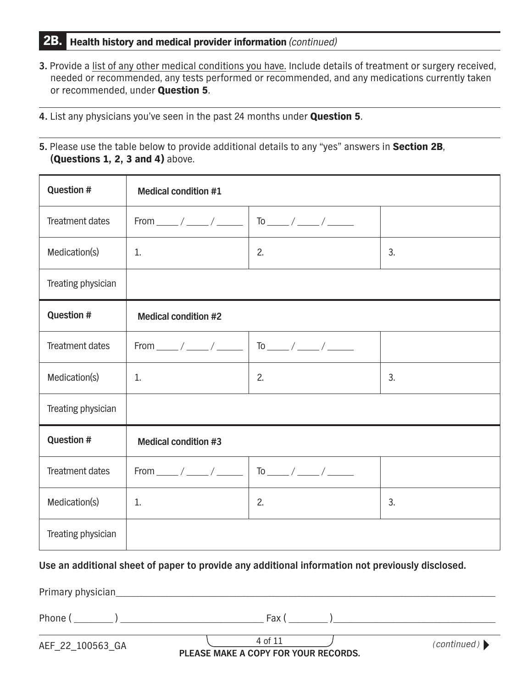## 2B. Health history and medical provider information *(continued)*

- **3.** Provide a list of any other medical conditions you have. Include details of treatment or surgery received, needed or recommended, any tests performed or recommended, and any medications currently taken or recommended, under Question 5.
- **4.** List any physicians you've seen in the past 24 months under Question 5.
- **5.** Please use the table below to provide additional details to any "yes" answers in Section 2B, **(**Questions 1, 2, 3 and 4) above.

| <b>Question #</b>      | <b>Medical condition #1</b>                              |               |    |
|------------------------|----------------------------------------------------------|---------------|----|
| Treatment dates        | From ______ / _____ / ______                             |               |    |
| Medication(s)          | 1.                                                       | 2.            | 3. |
| Treating physician     |                                                          |               |    |
| <b>Question #</b>      | <b>Medical condition #2</b>                              |               |    |
| <b>Treatment dates</b> | From $\frac{\ }{\ }$ / $\frac{\ }{\ }$ / $\frac{\ }{\ }$ |               |    |
| Medication(s)          | 1.                                                       | 2.            | 3. |
| Treating physician     |                                                          |               |    |
| <b>Question #</b>      | <b>Medical condition #3</b>                              |               |    |
| <b>Treatment dates</b> | From $\frac{1}{\sqrt{2\pi}}$                             | $\frac{1}{2}$ |    |
| Medication(s)          | 1.                                                       | 2.            | 3. |
| Treating physician     |                                                          |               |    |

## **Use an additional sheet of paper to provide any additional information not previously disclosed.**

Primary physician

| D <sub>k</sub> | $\overline{\phantom{0}}$<br>$-1$<br>u |  |
|----------------|---------------------------------------|--|
|                |                                       |  |

4 of 11 AEF\_22\_100563\_GA **PLEASE MAKE A COPY FOR YOUR RECORDS.** (continued)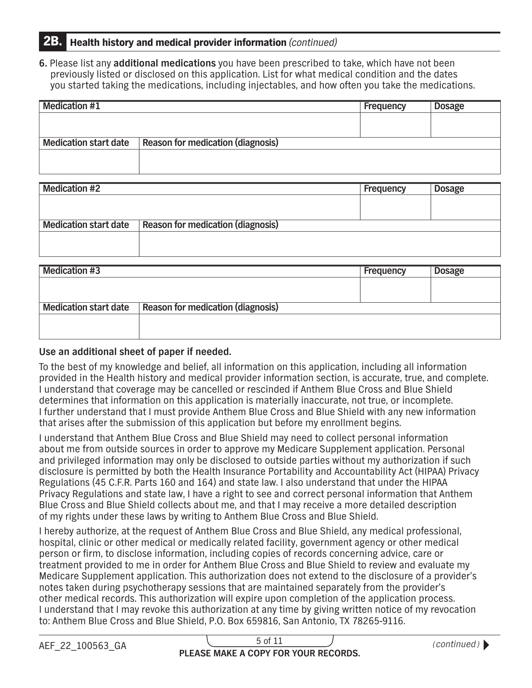## 2B. Health history and medical provider information *(continued)*

**6.** Please list any **additional medications** you have been prescribed to take, which have not been previously listed or disclosed on this application. List for what medical condition and the dates you started taking the medications, including injectables, and how often you take the medications.

| <b>Medication #1</b>         |                                          | Frequency | <b>Dosage</b> |
|------------------------------|------------------------------------------|-----------|---------------|
|                              |                                          |           |               |
|                              |                                          |           |               |
| <b>Medication start date</b> | <b>Reason for medication (diagnosis)</b> |           |               |
|                              |                                          |           |               |
|                              |                                          |           |               |

| <b>Medication #2</b>         |                                          | <b>Frequency</b> | <b>Dosage</b> |
|------------------------------|------------------------------------------|------------------|---------------|
|                              |                                          |                  |               |
|                              |                                          |                  |               |
| <b>Medication start date</b> | <b>Reason for medication (diagnosis)</b> |                  |               |
|                              |                                          |                  |               |
|                              |                                          |                  |               |
|                              |                                          |                  |               |

| <b>Medication #3</b>         |                                          | Frequency | <b>Dosage</b> |
|------------------------------|------------------------------------------|-----------|---------------|
|                              |                                          |           |               |
|                              |                                          |           |               |
| <b>Medication start date</b> | <b>Reason for medication (diagnosis)</b> |           |               |
|                              |                                          |           |               |
|                              |                                          |           |               |
|                              |                                          |           |               |

## **Use an additional sheet of paper if needed.**

To the best of my knowledge and belief, all information on this application, including all information provided in the Health history and medical provider information section, is accurate, true, and complete. I understand that coverage may be cancelled or rescinded if Anthem Blue Cross and Blue Shield determines that information on this application is materially inaccurate, not true, or incomplete. I further understand that I must provide Anthem Blue Cross and Blue Shield with any new information that arises after the submission of this application but before my enrollment begins.

I understand that Anthem Blue Cross and Blue Shield may need to collect personal information about me from outside sources in order to approve my Medicare Supplement application. Personal and privileged information may only be disclosed to outside parties without my authorization if such disclosure is permitted by both the Health Insurance Portability and Accountability Act (HIPAA) Privacy Regulations (45 C.F.R. Parts 160 and 164) and state law. I also understand that under the HIPAA Privacy Regulations and state law, I have a right to see and correct personal information that Anthem Blue Cross and Blue Shield collects about me, and that I may receive a more detailed description of my rights under these laws by writing to Anthem Blue Cross and Blue Shield.

I hereby authorize, at the request of Anthem Blue Cross and Blue Shield, any medical professional, hospital, clinic or other medical or medically related facility, government agency or other medical person or frm, to disclose information, including copies of records concerning advice, care or treatment provided to me in order for Anthem Blue Cross and Blue Shield to review and evaluate my Medicare Supplement application. This authorization does not extend to the disclosure of a provider's notes taken during psychotherapy sessions that are maintained separately from the provider's other medical records. This authorization will expire upon completion of the application process. I understand that I may revoke this authorization at any time by giving written notice of my revocation to: Anthem Blue Cross and Blue Shield, P.O. Box 659816, San Antonio, TX 78265-9116.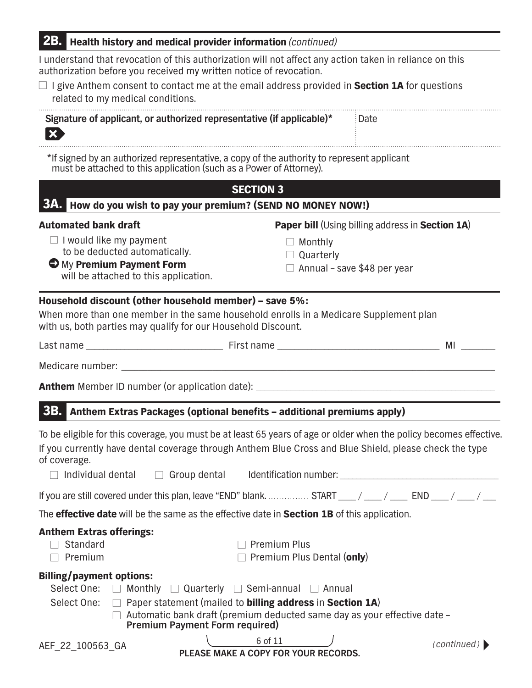## 2B. Health history and medical provider information *(continued)*

I understand that revocation of this authorization will not affect any action taken in reliance on this authorization before you received my written notice of revocation.

| $\Box$ I give Anthem consent to contact me at the email address provided in Section 1A for questions |  |  |  |
|------------------------------------------------------------------------------------------------------|--|--|--|
| related to my medical conditions.                                                                    |  |  |  |

| Signature of applicant, or authorized representative (if applicable)* | : Date |
|-----------------------------------------------------------------------|--------|
|                                                                       |        |

\*If signed by an authorized representative, a copy of the authority to represent applicant must be attached to this application (such as a Power of Attorney).

|  | $\blacksquare$ SECTION 3 $\blacksquare$                       |
|--|---------------------------------------------------------------|
|  | 3A. How do you wish to pay your premium? (SEND NO MONEY NOW!) |

#### Automated bank draft **Paper bill** (Using billing address in Section 1A)

- □ I would like my payment □ Nonthly to be deducted automatically.  $\Box$  Quarterly  $\Box$  Quarterly
- My Premium Payment Form  $\Box$  Annual save \$48 per year will be attached to this application.

## Household discount (other household member) – save 5%:

When more than one member in the same household enrolls in a Medicare Supplement plan with us, both parties may qualify for our Household Discount.

Last name \_\_\_\_\_\_\_\_\_\_\_\_\_\_\_\_\_\_\_\_\_\_\_\_\_\_\_\_\_\_\_\_ First name \_\_\_\_\_\_\_\_\_\_\_\_\_\_\_\_\_\_\_\_\_\_\_\_\_\_\_\_\_\_\_\_\_\_\_\_\_\_ MI \_\_\_\_\_\_\_\_

Medicare number:

Anthem Member ID number (or application date):

## 3B. Anthem Extras Packages (optional benefts – additional premiums apply)

To be eligible for this coverage, you must be at least 65 years of age or older when the policy becomes effective. If you currently have dental coverage through Anthem Blue Cross and Blue Shield, please check the type of coverage.

| $\Box$ Individual dental | $\Box$ Group dental | Identification number: |
|--------------------------|---------------------|------------------------|
|                          |                     |                        |

| If you are still covered under this plan, leave "END" blank.  START ___ / ___ / ___ END ___ / ___ / ___ |  |  |  |  |  |  |  |
|---------------------------------------------------------------------------------------------------------|--|--|--|--|--|--|--|
|---------------------------------------------------------------------------------------------------------|--|--|--|--|--|--|--|

The **effective date** will be the same as the effective date in **Section 1B** of this application.

## Anthem Extras offerings:

 $\Box$  Standard

□ Premium Plus

□ Premium □ □ □ □ □ Premium Plus Dental (only)

## Billing/payment options:

| Select One:     | $\Box$ Monthly $\Box$ Quarterly $\Box$ Semi-annual $\Box$ Annual                                                                     |         |                                                                                      |
|-----------------|--------------------------------------------------------------------------------------------------------------------------------------|---------|--------------------------------------------------------------------------------------|
|                 | Select One: $\Box$ Paper statement (mailed to <b>billing address</b> in <b>Section 1A</b> )<br><b>Premium Payment Form required)</b> |         | $\Box$ Automatic bank draft (premium deducted same day as your effective date $\Box$ |
| LE 99 100569 CA |                                                                                                                                      | 6 of 11 | (continued)                                                                          |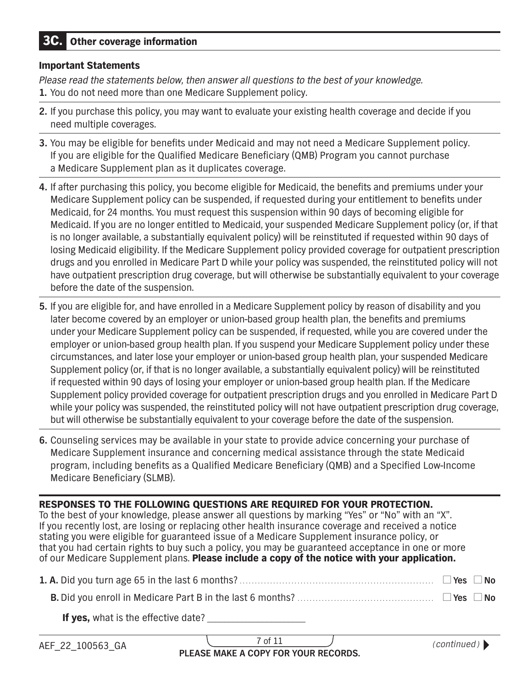## 3C. Other coverage information

#### Important Statements

*Please read the statements below, then answer all questions to the best of your knowledge.* 

- **1.** You do not need more than one Medicare Supplement policy.
- **2.** If you purchase this policy, you may want to evaluate your existing health coverage and decide if you need multiple coverages.
- **3.** You may be eligible for benefits under Medicaid and may not need a Medicare Supplement policy. If you are eligible for the Qualified Medicare Beneficiary (QMB) Program you cannot purchase a Medicare Supplement plan as it duplicates coverage.
- **4.** If after purchasing this policy, you become eligible for Medicaid, the benefts and premiums under your Medicare Supplement policy can be suspended, if requested during your entitlement to benefits under Medicaid, for 24 months. You must request this suspension within 90 days of becoming eligible for Medicaid. If you are no longer entitled to Medicaid, your suspended Medicare Supplement policy (or, if that is no longer available, a substantially equivalent policy) will be reinstituted if requested within 90 days of losing Medicaid eligibility. If the Medicare Supplement policy provided coverage for outpatient prescription drugs and you enrolled in Medicare Part D while your policy was suspended, the reinstituted policy will not have outpatient prescription drug coverage, but will otherwise be substantially equivalent to your coverage before the date of the suspension.
- **5.** If you are eligible for, and have enrolled in a Medicare Supplement policy by reason of disability and you later become covered by an employer or union-based group health plan, the benefits and premiums under your Medicare Supplement policy can be suspended, if requested, while you are covered under the employer or union-based group health plan. If you suspend your Medicare Supplement policy under these circumstances, and later lose your employer or union-based group health plan, your suspended Medicare Supplement policy (or, if that is no longer available, a substantially equivalent policy) will be reinstituted if requested within 90 days of losing your employer or union-based group health plan. If the Medicare Supplement policy provided coverage for outpatient prescription drugs and you enrolled in Medicare Part D while your policy was suspended, the reinstituted policy will not have outpatient prescription drug coverage, but will otherwise be substantially equivalent to your coverage before the date of the suspension.
- **6.** Counseling services may be available in your state to provide advice concerning your purchase of Medicare Supplement insurance and concerning medical assistance through the state Medicaid program, including benefts as a Qualifed Medicare Benefciary (QMB) and a Specifed Low-Income Medicare Beneficiary (SLMB).

RESPONSES TO THE FOLLOWING QUESTIONS ARE REQUIRED FOR YOUR PROTECTION. To the best of your knowledge, please answer all questions by marking "Yes" or "No" with an "X". If you recently lost, are losing or replacing other health insurance coverage and received a notice stating you were eligible for guaranteed issue of a Medicare Supplement insurance policy, or that you had certain rights to buy such a policy, you may be guaranteed acceptance in one or more of our Medicare Supplement plans. Please include a copy of the notice with your application.

| $\Box$ Yes $\Box$ No |  |
|----------------------|--|
|                      |  |

| If yes, what is the effective date? |  |
|-------------------------------------|--|
|-------------------------------------|--|

7 of 11 **PLEASE MAKE A COPY FOR YOUR RECORDS.** (continued) ♦ (continued)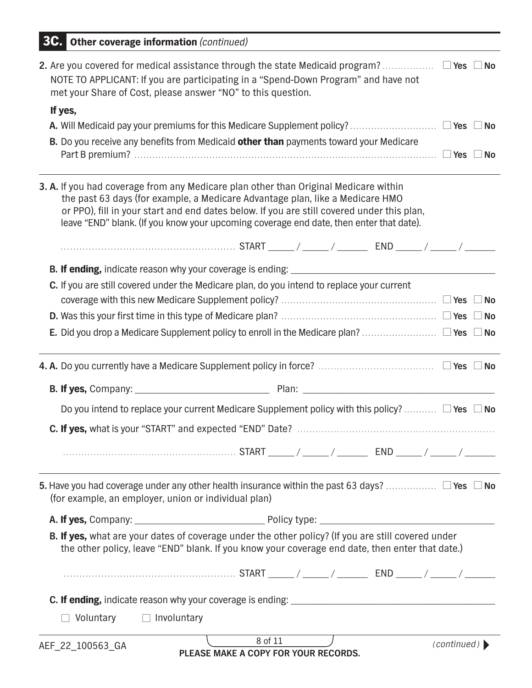| <b>3C.</b> Other coverage information (continued)                                                                                                                                                                                                                                                                                                                     |             |  |
|-----------------------------------------------------------------------------------------------------------------------------------------------------------------------------------------------------------------------------------------------------------------------------------------------------------------------------------------------------------------------|-------------|--|
| 2. Are you covered for medical assistance through the state Medicaid program? $\Box$ Yes $\Box$ No<br>NOTE TO APPLICANT: If you are participating in a "Spend-Down Program" and have not<br>met your Share of Cost, please answer "NO" to this question.                                                                                                              |             |  |
| If yes,                                                                                                                                                                                                                                                                                                                                                               |             |  |
|                                                                                                                                                                                                                                                                                                                                                                       |             |  |
| B. Do you receive any benefits from Medicaid other than payments toward your Medicare                                                                                                                                                                                                                                                                                 |             |  |
| <b>3. A.</b> If you had coverage from any Medicare plan other than Original Medicare within<br>the past 63 days (for example, a Medicare Advantage plan, like a Medicare HMO<br>or PPO), fill in your start and end dates below. If you are still covered under this plan,<br>leave "END" blank. (If you know your upcoming coverage end date, then enter that date). |             |  |
|                                                                                                                                                                                                                                                                                                                                                                       |             |  |
|                                                                                                                                                                                                                                                                                                                                                                       |             |  |
| C. If you are still covered under the Medicare plan, do you intend to replace your current                                                                                                                                                                                                                                                                            |             |  |
|                                                                                                                                                                                                                                                                                                                                                                       |             |  |
|                                                                                                                                                                                                                                                                                                                                                                       |             |  |
|                                                                                                                                                                                                                                                                                                                                                                       |             |  |
|                                                                                                                                                                                                                                                                                                                                                                       |             |  |
|                                                                                                                                                                                                                                                                                                                                                                       |             |  |
| Do you intend to replace your current Medicare Supplement policy with this policy? $\Box$ Yes $\Box$ No                                                                                                                                                                                                                                                               |             |  |
|                                                                                                                                                                                                                                                                                                                                                                       |             |  |
|                                                                                                                                                                                                                                                                                                                                                                       |             |  |
| 5. Have you had coverage under any other health insurance within the past 63 days? $\Box$ Yes $\Box$ No<br>(for example, an employer, union or individual plan)                                                                                                                                                                                                       |             |  |
|                                                                                                                                                                                                                                                                                                                                                                       |             |  |
| B. If yes, what are your dates of coverage under the other policy? (If you are still covered under<br>the other policy, leave "END" blank. If you know your coverage end date, then enter that date.)                                                                                                                                                                 |             |  |
|                                                                                                                                                                                                                                                                                                                                                                       |             |  |
|                                                                                                                                                                                                                                                                                                                                                                       |             |  |
| $\Box$ Involuntary<br>Voluntary                                                                                                                                                                                                                                                                                                                                       |             |  |
| 8 of 11<br>AEF_22_100563_GA<br>PLEASE MAKE A COPY FOR YOUR RECORDS.                                                                                                                                                                                                                                                                                                   | (continued) |  |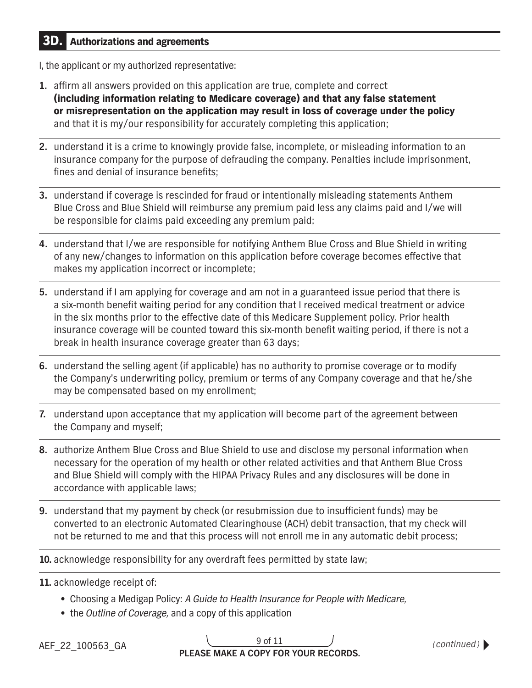## 3D. Authorizations and agreements

I, the applicant or my authorized representative:

- or misrepresentation on the application may result in loss of coverage under the policy **1.** affrm all answers provided on this application are true, complete and correct (including information relating to Medicare coverage) and that any false statement and that it is my/our responsibility for accurately completing this application;
- **2.** understand it is a crime to knowingly provide false, incomplete, or misleading information to an insurance company for the purpose of defrauding the company. Penalties include imprisonment, fines and denial of insurance benefits;
- **3.** understand if coverage is rescinded for fraud or intentionally misleading statements Anthem Blue Cross and Blue Shield will reimburse any premium paid less any claims paid and I/we will be responsible for claims paid exceeding any premium paid;
- **4.** understand that I/we are responsible for notifying Anthem Blue Cross and Blue Shield in writing of any new/changes to information on this application before coverage becomes effective that makes my application incorrect or incomplete;
- **5.** understand if I am applying for coverage and am not in a guaranteed issue period that there is a six-month benefit waiting period for any condition that I received medical treatment or advice in the six months prior to the effective date of this Medicare Supplement policy. Prior health insurance coverage will be counted toward this six-month benefit waiting period, if there is not a break in health insurance coverage greater than 63 days;
- **6.** understand the selling agent (if applicable) has no authority to promise coverage or to modify the Company's underwriting policy, premium or terms of any Company coverage and that he/she may be compensated based on my enrollment;
- **7.** understand upon acceptance that my application will become part of the agreement between the Company and myself;
- **8.** authorize Anthem Blue Cross and Blue Shield to use and disclose my personal information when necessary for the operation of my health or other related activities and that Anthem Blue Cross and Blue Shield will comply with the HIPAA Privacy Rules and any disclosures will be done in accordance with applicable laws;
- **9.** understand that my payment by check (or resubmission due to insufficient funds) may be converted to an electronic Automated Clearinghouse (ACH) debit transaction, that my check will not be returned to me and that this process will not enroll me in any automatic debit process;

**10.** acknowledge responsibility for any overdraft fees permitted by state law;

**11.** acknowledge receipt of:

- Choosing a Medigap Policy: *A Guide to Health Insurance for People with Medicare,*
- the *Outline of Coverage,* and a copy of this application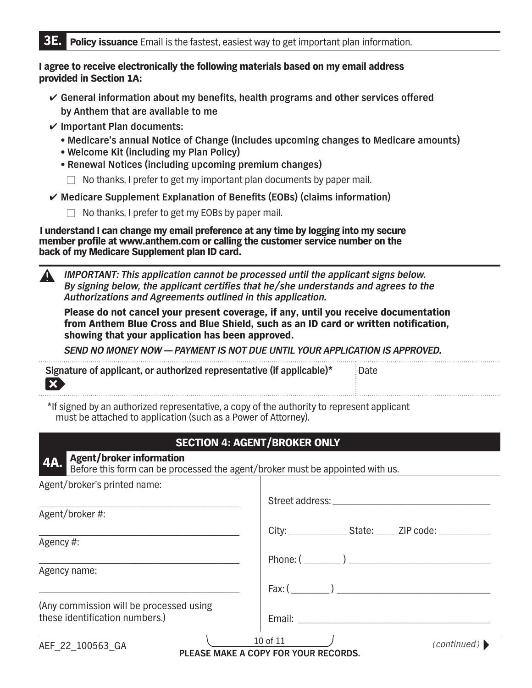#### I agree to receive electronically the following materials based on my email address provided in Section 1A:

- **General information about my benefits, health programs and other services offered by Anthem that are available to me**
- **Important Plan documents:** 
	- **• Medicare's annual Notice of Change (includes upcoming changes to Medicare amounts)**
	- **• Welcome Kit (including my Plan Policy)**
	- **• Renewal Notices (including upcoming premium changes)**
		- $\Box$  No thanks, I prefer to get my important plan documents by paper mail.

**Medicare Supplement Explanation of Benefits (EOBs) (claims information)**

 $\Box$  No thanks, I prefer to get my EOBs by paper mail.

I understand I can change my email preference at any time by logging into my secure member profle at [www.anthem.com](http://www.anthem.com) or calling the customer service number on the back of my Medicare Supplement plan ID card.

 *IMPORTANT: This application cannot be processed until the applicant signs below. By signing below, the applicant certifes that he/she understands and agrees to the Authorizations and Agreements outlined in this application.* 

Please do not cancel your present coverage, if any, until you receive documentation from Anthem Blue Cross and Blue Shield, such as an ID card or written notifcation, showing that your application has been approved.

*SEND NO MONEY NOW – PAYMENT IS NOT DUE UNTIL YOUR APPLICATION IS APPROVED.* 

| Signature of applicant, or authorized representative (if applicable)* | Date |
|-----------------------------------------------------------------------|------|
|                                                                       |      |

\*If signed by an authorized representative, a copy of the authority to represent applicant must be attached to application (such as a Power of Attorney).

## SECTION 4: AGENT/BROKER ONLY

## Agent/broker information

Before this form can be processed the agent/broker must be appointed with us.

| Agent/broker's printed name:            |                                                              |
|-----------------------------------------|--------------------------------------------------------------|
|                                         | Street address: ________________                             |
| Agent/broker#:                          |                                                              |
|                                         | City: __________________State: ______ ZIP code: ____________ |
| Agency #:                               |                                                              |
|                                         | Phone: $(\_\_)$                                              |
| Agency name:                            |                                                              |
|                                         |                                                              |
| (Any commission will be processed using |                                                              |
| these identification numbers.)          |                                                              |
| AEE 22 100562 CA                        | 10 of 11<br>(continued)                                      |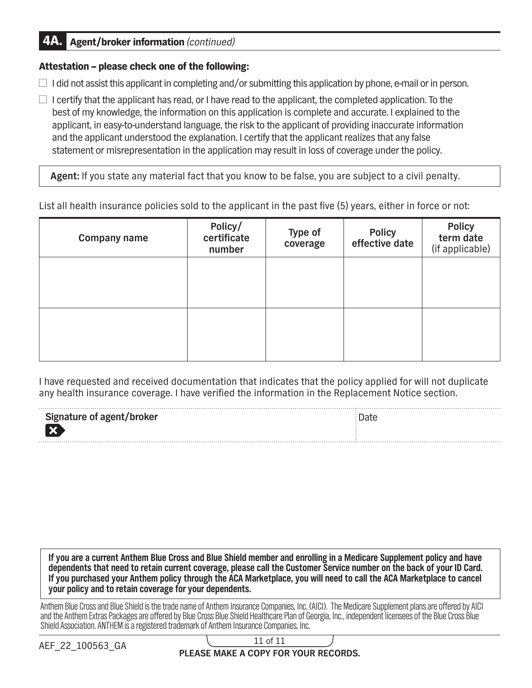## 4A. Agent/broker information *(continued)*

## Attestation – please check one of the following:

 $\Box$  I did not assist this applicant in completing and/or submitting this application by phone, e-mail or in person.

 $\Box$  I certify that the applicant has read, or I have read to the applicant, the completed application. To the best of my knowledge, the information on this application is complete and accurate. I explained to the applicant, in easy-to-understand language, the risk to the applicant of providing inaccurate information and the applicant understood the explanation. I certify that the applicant realizes that any false statement or misrepresentation in the application may result in loss of coverage under the policy.

**Agent:** If you state any material fact that you know to be false, you are subject to a civil penalty.

List all health insurance policies sold to the applicant in the past five (5) years, either in force or not:

| <b>Company name</b> | Policy/<br>certificate<br>number | Type of<br>coverage | <b>Policy</b><br>effective date | <b>Policy</b><br>term date<br>(if applicable) |
|---------------------|----------------------------------|---------------------|---------------------------------|-----------------------------------------------|
|                     |                                  |                     |                                 |                                               |
|                     |                                  |                     |                                 |                                               |

I have requested and received documentation that indicates that the policy applied for will not duplicate any health insurance coverage. I have verifed the information in the Replacement Notice section.

| Signature of agent/broker | Date |
|---------------------------|------|
| $\overline{\textbf{x}}$   |      |
|                           |      |

**If you are a current Anthem Blue Cross and Blue Shield member and enrolling in a Medicare Supplement policy and have dependents that need to retain current coverage, please call the Customer Service number on the back of your ID Card. If you purchased your Anthem policy through the ACA Marketplace, you will need to call the ACA Marketplace to cancel your policy and to retain coverage for your dependents.** 

Anthem Blue Cross and Blue Shield is the trade name of Anthem Insurance Companies, Inc. (AICI). The Medicare Supplement plans are offered by AICI and the Anthem Extras Packages are offered by Blue Cross Blue Shield Healthcare Plan of Georgia, Inc., independent licensees of the Blue Cross Blue Shield Association. ANTHEM is a registered trademark of Anthem Insurance Companies, Inc.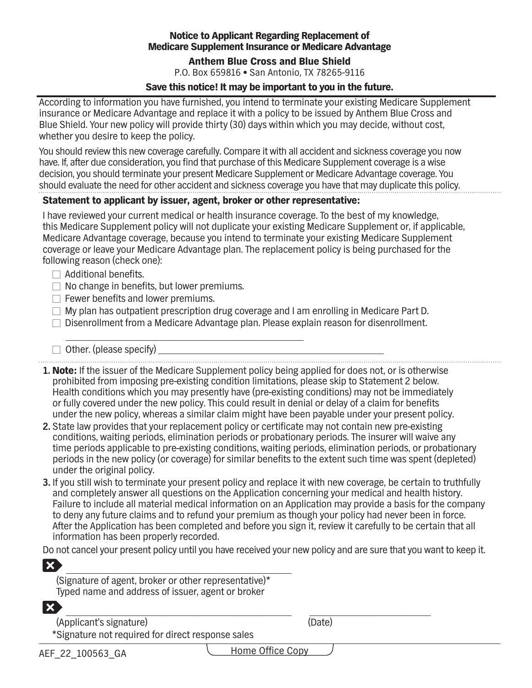## Notice to Applicant Regarding Replacement of Medicare Supplement Insurance or Medicare Advantage

#### Anthem Blue Cross and Blue Shield

P.O. Box 659816 **•** San Antonio, TX 78265-9116

#### Save this notice! It may be important to you in the future.

According to information you have furnished, you intend to terminate your existing Medicare Supplement insurance or Medicare Advantage and replace it with a policy to be issued by Anthem Blue Cross and Blue Shield. Your new policy will provide thirty (30) days within which you may decide, without cost, whether you desire to keep the policy.

You should review this new coverage carefully. Compare it with all accident and sickness coverage you now have. If, after due consideration, you find that purchase of this Medicare Supplement coverage is a wise decision, you should terminate your present Medicare Supplement or Medicare Advantage coverage. You should evaluate the need for other accident and sickness coverage you have that may duplicate this policy.

#### Statement to applicant by issuer, agent, broker or other representative:

\_\_\_\_\_\_\_\_\_\_\_\_\_\_\_\_\_\_\_\_\_\_\_\_\_\_\_\_\_\_\_\_\_\_\_\_\_\_\_\_\_\_\_\_\_\_\_\_\_\_\_\_\_\_\_\_\_

I have reviewed your current medical or health insurance coverage. To the best of my knowledge, this Medicare Supplement policy will not duplicate your existing Medicare Supplement or, if applicable, Medicare Advantage coverage, because you intend to terminate your existing Medicare Supplement coverage or leave your Medicare Advantage plan. The replacement policy is being purchased for the following reason (check one):

- $\Box$  Additional benefits.
- $\Box$  No change in benefits, but lower premiums.
- $\Box$  Fewer benefits and lower premiums.
- $\Box$  My plan has outpatient prescription drug coverage and I am enrolling in Medicare Part D.
- □ Disenrollment from a Medicare Advantage plan. Please explain reason for disenrollment.
- $\Box$  Other. (please specify) \_\_\_\_\_\_\_\_\_\_\_\_\_\_\_\_\_\_\_\_\_\_\_\_\_\_\_\_\_\_\_\_\_\_\_\_\_\_\_\_\_\_\_\_\_\_\_\_\_\_\_\_\_\_

- **1.** Note: If the issuer of the Medicare Supplement policy being applied for does not, or is otherwise prohibited from imposing pre-existing condition limitations, please skip to Statement 2 below. Health conditions which you may presently have (pre-existing conditions) may not be immediately or fully covered under the new policy. This could result in denial or delay of a claim for benefts under the new policy, whereas a similar claim might have been payable under your present policy.
- 2. State law provides that your replacement policy or certificate may not contain new pre-existing conditions, waiting periods, elimination periods or probationary periods. The insurer will waive any time periods applicable to pre-existing conditions, waiting periods, elimination periods, or probationary periods in the new policy (or coverage) for similar benefts to the extent such time was spent (depleted) under the original policy.
- **3.** If you still wish to terminate your present policy and replace it with new coverage, be certain to truthfully and completely answer all questions on the Application concerning your medical and health history. Failure to include all material medical information on an Application may provide a basis for the company to deny any future claims and to refund your premium as though your policy had never been in force. After the Application has been completed and before you sign it, review it carefully to be certain that all information has been properly recorded.

Do not cancel your present policy until you have received your new policy and are sure that you want to keep it.

\_\_\_\_\_\_\_\_\_\_\_\_\_\_\_\_\_\_\_\_\_\_\_\_\_\_\_\_\_\_\_\_\_\_\_\_\_\_\_\_\_\_\_\_\_\_\_\_\_\_\_\_\_\_ \_\_\_\_\_\_\_\_\_\_\_\_\_\_\_\_\_\_\_\_\_\_\_\_\_\_\_\_\_

| $\bm{X}$ .                                            |  |
|-------------------------------------------------------|--|
| (Signature of agent, broker or other representative)* |  |
| Typed name and address of issuer, agent or broker     |  |

 $|\boldsymbol{\mathsf{x}}|$ 

 (Applicant's signature) (Date) \*Signature not required for direct response sales

Home Office Copy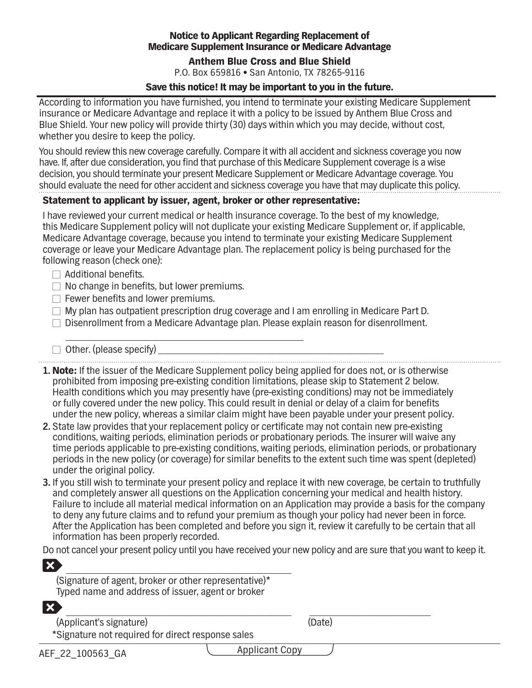## Notice to Applicant Regarding Replacement of Medicare Supplement Insurance or Medicare Advantage

#### Anthem Blue Cross and Blue Shield

P.O. Box 659816 **•** San Antonio, TX 78265-9116

#### Save this notice! It may be important to you in the future.

According to information you have furnished, you intend to terminate your existing Medicare Supplement insurance or Medicare Advantage and replace it with a policy to be issued by Anthem Blue Cross and Blue Shield. Your new policy will provide thirty (30) days within which you may decide, without cost, whether you desire to keep the policy.

You should review this new coverage carefully. Compare it with all accident and sickness coverage you now have. If, after due consideration, you find that purchase of this Medicare Supplement coverage is a wise decision, you should terminate your present Medicare Supplement or Medicare Advantage coverage. You should evaluate the need for other accident and sickness coverage you have that may duplicate this policy.

#### Statement to applicant by issuer, agent, broker or other representative:

\_\_\_\_\_\_\_\_\_\_\_\_\_\_\_\_\_\_\_\_\_\_\_\_\_\_\_\_\_\_\_\_\_\_\_\_\_\_\_\_\_\_\_\_\_\_\_\_\_\_\_\_\_\_\_\_\_

I have reviewed your current medical or health insurance coverage. To the best of my knowledge, this Medicare Supplement policy will not duplicate your existing Medicare Supplement or, if applicable, Medicare Advantage coverage, because you intend to terminate your existing Medicare Supplement coverage or leave your Medicare Advantage plan. The replacement policy is being purchased for the following reason (check one):

- $\Box$  Additional benefits.
- $\Box$  No change in benefits, but lower premiums.
- $\Box$  Fewer benefits and lower premiums.
- $\Box$  My plan has outpatient prescription drug coverage and I am enrolling in Medicare Part D.
- □ Disenrollment from a Medicare Advantage plan. Please explain reason for disenrollment.
- $\Box$  Other. (please specify) \_\_\_\_\_\_\_\_\_\_\_\_\_\_\_\_\_\_\_\_\_\_\_\_\_\_\_\_\_\_\_\_\_\_\_\_\_\_\_\_\_\_\_\_\_\_\_\_\_\_\_\_\_\_

- **1.** Note: If the issuer of the Medicare Supplement policy being applied for does not, or is otherwise prohibited from imposing pre-existing condition limitations, please skip to Statement 2 below. Health conditions which you may presently have (pre-existing conditions) may not be immediately or fully covered under the new policy. This could result in denial or delay of a claim for benefts under the new policy, whereas a similar claim might have been payable under your present policy.
- 2. State law provides that your replacement policy or certificate may not contain new pre-existing conditions, waiting periods, elimination periods or probationary periods. The insurer will waive any time periods applicable to pre-existing conditions, waiting periods, elimination periods, or probationary periods in the new policy (or coverage) for similar benefts to the extent such time was spent (depleted) under the original policy.
- **3.** If you still wish to terminate your present policy and replace it with new coverage, be certain to truthfully and completely answer all questions on the Application concerning your medical and health history. Failure to include all material medical information on an Application may provide a basis for the company to deny any future claims and to refund your premium as though your policy had never been in force. After the Application has been completed and before you sign it, review it carefully to be certain that all information has been properly recorded.

Do not cancel your present policy until you have received your new policy and are sure that you want to keep it.

| $ \boldsymbol{\mathsf{x}} $                                                                                |  |
|------------------------------------------------------------------------------------------------------------|--|
| (Signature of agent, broker or other representative)*<br>Typed name and address of issuer, agent or broker |  |
| X)                                                                                                         |  |

 (Applicant's signature) (Date) \*Signature not required for direct response sales

Applicant Copy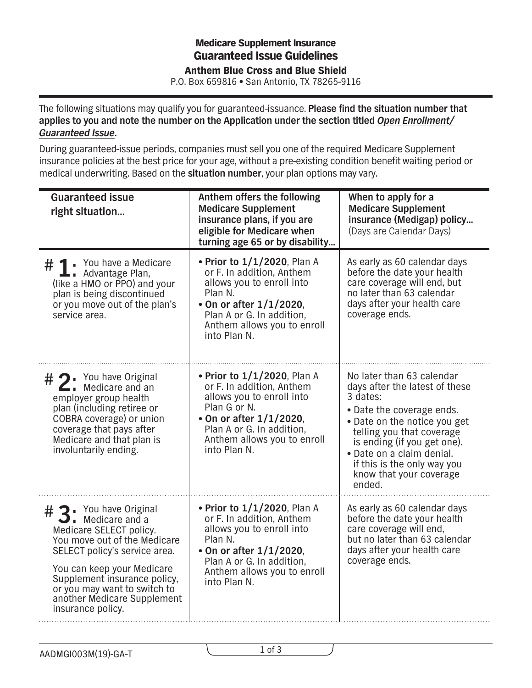## **Medicare Supplement Insurance<br>Cuoventeed Iesue Cuidelinee** Guaranteed Issue Guidelines Blue Cross and Blue Shield Anthem Blue Cross and Blue Shield

P.O. Box 659816 **•** San Antonio, TX 78265-9116 P.O. Box 659816 **•** San Antonio, TX 78265-9116

The following situations may qualify you for guaranteed-issuance. **Please find the situation number that applies to you and note the number on the Application under the section titled** *Open Enrollment/ Guaranteed Issue***.** 

During guaranteed-issue periods, companies must sell you one of the required Medicare Supplement insurance policies at the best price for your age, without a pre-existing condition benefit waiting period or medical underwriting. Based on the **situation number**, your plan options may vary.

| <b>Guaranteed issue</b><br>right situation                                                                                                                                                                                                                                                                           | Anthem offers the following<br><b>Medicare Supplement</b><br>insurance plans, if you are<br>eligible for Medicare when<br>turning age 65 or by disability                                                    | When to apply for a<br><b>Medicare Supplement</b><br>insurance (Medigap) policy<br>(Days are Calendar Days)                                                                                                                                                                                       |
|----------------------------------------------------------------------------------------------------------------------------------------------------------------------------------------------------------------------------------------------------------------------------------------------------------------------|--------------------------------------------------------------------------------------------------------------------------------------------------------------------------------------------------------------|---------------------------------------------------------------------------------------------------------------------------------------------------------------------------------------------------------------------------------------------------------------------------------------------------|
| $\#$ $\blacksquare$ You have a Medicare<br>Advantage Plan,<br>(like a HMO or PPO) and your<br>plan is being discontinued<br>or you move out of the plan's<br>service area.                                                                                                                                           | • Prior to 1/1/2020, Plan A<br>or F. In addition, Anthem<br>allows you to enroll into<br>Plan N.<br>• On or after $1/1/2020$ ,<br>Plan A or G. In addition,<br>Anthem allows you to enroll<br>into Plan N.   | As early as 60 calendar days<br>before the date your health<br>care coverage will end, but<br>no later than 63 calendar<br>days after your health care<br>coverage ends.                                                                                                                          |
| $# 2$ . You have Original Medicare and an<br>employer group health<br>plan (including retiree or<br>COBRA coverage) or union<br>coverage that pays after<br>Medicare and that plan is<br>involuntarily ending.                                                                                                       | • Prior to 1/1/2020, Plan A<br>or F. In addition, Anthem<br>allows you to enroll into<br>Plan G or N.<br>• On or after 1/1/2020,<br>Plan A or G. In addition,<br>Anthem allows you to enroll<br>into Plan N. | No later than 63 calendar<br>days after the latest of these<br>3 dates:<br>• Date the coverage ends.<br>• Date on the notice you get<br>telling you that coverage<br>is ending (if you get one).<br>· Date on a claim denial,<br>if this is the only way you<br>know that your coverage<br>ended. |
| 2. You have Original<br>#<br>$\overline{\phantom{a}}$ . Medicare and a<br>Medicare SELECT policy.<br>You move out of the Medicare<br>SELECT policy's service area.<br>You can keep your Medicare<br>Supplement insurance policy,<br>or you may want to switch to<br>another Medicare Supplement<br>insurance policy. | • Prior to 1/1/2020, Plan A<br>or F. In addition, Anthem<br>allows you to enroll into<br>Plan N.<br>• On or after $1/1/2020$ ,<br>Plan A or G. In addition,<br>Anthem allows you to enroll<br>into Plan N.   | As early as 60 calendar days<br>before the date your health<br>care coverage will end,<br>but no later than 63 calendar<br>days after your health care<br>coverage ends.                                                                                                                          |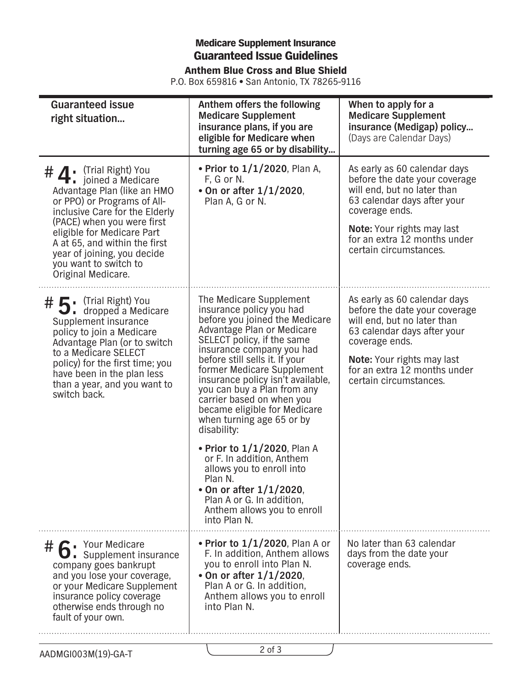## Medicare Supplement Insurance Guaranteed Issue Guidelines Anthem Blue Cross and Blue Shield

P.O. Box 659816 **•** San Antonio, TX 78265-9116

| <b>Guaranteed issue</b><br>right situation                                                                                                                                                                                                                                                                                                                        | Anthem offers the following<br><b>Medicare Supplement</b><br>insurance plans, if you are<br>eligible for Medicare when<br>turning age 65 or by disability                                                                                                                                                                                                                                                                                                                                                                                                                                                                                    | When to apply for a<br><b>Medicare Supplement</b><br>insurance (Medigap) policy<br>(Days are Calendar Days)                                                                                                                                  |
|-------------------------------------------------------------------------------------------------------------------------------------------------------------------------------------------------------------------------------------------------------------------------------------------------------------------------------------------------------------------|----------------------------------------------------------------------------------------------------------------------------------------------------------------------------------------------------------------------------------------------------------------------------------------------------------------------------------------------------------------------------------------------------------------------------------------------------------------------------------------------------------------------------------------------------------------------------------------------------------------------------------------------|----------------------------------------------------------------------------------------------------------------------------------------------------------------------------------------------------------------------------------------------|
| (Trial Right) You<br># $\mathbf{A}$<br><b><math>\bullet</math></b> i joined a Medicare<br>Advantage Plan (like an HMO<br>or PPO) or Programs of All-<br>inclusive Care for the Elderly<br>(PACE) when you were first<br>eligible for Medicare Part<br>A at 65, and within the first<br>year of joining, you decide<br>you want to switch to<br>Original Medicare. | • Prior to 1/1/2020, Plan A,<br>F, G or N.<br>• On or after 1/1/2020,<br>Plan A, G or N.                                                                                                                                                                                                                                                                                                                                                                                                                                                                                                                                                     | As early as 60 calendar days<br>before the date your coverage<br>will end, but no later than<br>63 calendar days after your<br>coverage ends.<br><b>Note:</b> Your rights may last<br>for an extra 12 months under<br>certain circumstances. |
| # 【 · (Trial Right) You<br>$\bigcup$ dropped a Medicare<br>Supplement insurance<br>policy to join a Medicare<br>Advantage Plan (or to switch<br>to a Medicare SELECT<br>policy) for the first time; you<br>have been in the plan less<br>than a year, and you want to<br>switch back.                                                                             | The Medicare Supplement<br>insurance policy you had<br>before you joined the Medicare<br>Advantage Plan or Medicare<br>SELECT policy, if the same<br>insurance company you had<br>before still sells it. If your<br>former Medicare Supplement<br>insurance policy isn't available,<br>you can buy a Plan from any<br>carrier based on when you<br>became eligible for Medicare<br>when turning age 65 or by<br>disability:<br>• Prior to $1/1/2020$ , Plan A<br>or F. In addition, Anthem<br>allows you to enroll into<br>Plan N.<br>• On or after $1/1/2020$ ,<br>Plan A or G. In addition,<br>Anthem allows you to enroll<br>into Plan N. | As early as 60 calendar days<br>before the date your coverage<br>will end, but no later than<br>63 calendar days after your<br>coverage ends.<br><b>Note:</b> Your rights may last<br>for an extra 12 months under<br>certain circumstances. |
| # 6 Your Medicare<br>Supplement insurance<br>company goes bankrupt<br>and you lose your coverage,<br>or your Medicare Supplement<br>insurance policy coverage<br>otherwise ends through no<br>fault of your own.                                                                                                                                                  | • Prior to $1/1/2020$ , Plan A or<br>F. In addition, Anthem allows<br>you to enroll into Plan N.<br>• On or after $1/1/2020$ ,<br>Plan A or G. In addition,<br>Anthem allows you to enroll<br>into Plan N.                                                                                                                                                                                                                                                                                                                                                                                                                                   | No later than 63 calendar<br>days from the date your<br>coverage ends.                                                                                                                                                                       |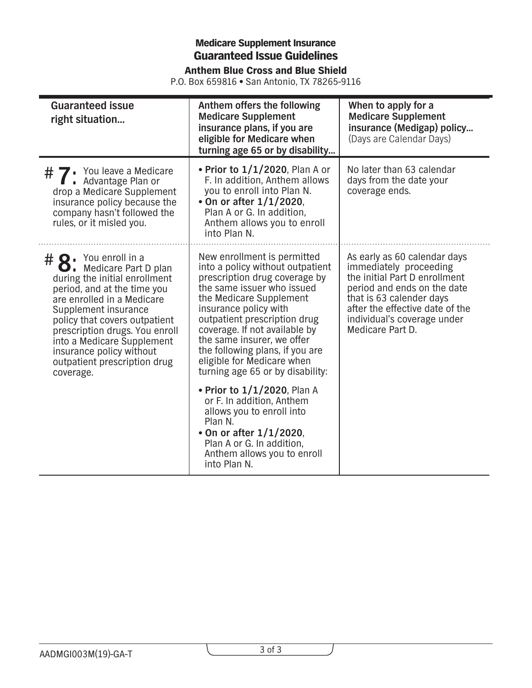## **Medicare Supplement Insurance** Guaranteed Issue Guidelines

Anthem Blue Cross and Blue Shield

| P.O. Box 659816 • San Antonio, TX 78265-9116 |  |
|----------------------------------------------|--|
|----------------------------------------------|--|

| <b>Guaranteed issue</b><br>right situation                                                                                                                                                                                                                                                                                                                   | Anthem offers the following<br><b>Medicare Supplement</b><br>insurance plans, if you are<br>eligible for Medicare when<br>turning age 65 or by disability                                                                                                                                                                                                                              | When to apply for a<br><b>Medicare Supplement</b><br>insurance (Medigap) policy<br>(Days are Calendar Days)                                                                                                                              |
|--------------------------------------------------------------------------------------------------------------------------------------------------------------------------------------------------------------------------------------------------------------------------------------------------------------------------------------------------------------|----------------------------------------------------------------------------------------------------------------------------------------------------------------------------------------------------------------------------------------------------------------------------------------------------------------------------------------------------------------------------------------|------------------------------------------------------------------------------------------------------------------------------------------------------------------------------------------------------------------------------------------|
| # 7: You leave a Medicare<br># 7: Advantage Plan or<br>drop a Medicare Supplement<br>insurance policy because the<br>company hasn't followed the<br>rules, or it misled you.                                                                                                                                                                                 | • Prior to $1/1/2020$ , Plan A or<br>F. In addition, Anthem allows<br>you to enroll into Plan N.<br>• On or after $1/1/2020$ ,<br>Plan A or G. In addition,<br>Anthem allows you to enroll<br>into Plan N.                                                                                                                                                                             | No later than 63 calendar<br>days from the date your<br>coverage ends.                                                                                                                                                                   |
| $# Q \cdot$ You enroll in a<br>$\Box$ . Medicare Part D plan<br>during the initial enrollment<br>period, and at the time you<br>are enrolled in a Medicare<br>Supplement insurance<br>policy that covers outpatient<br>prescription drugs. You enroll<br>into a Medicare Supplement<br>insurance policy without<br>outpatient prescription drug<br>coverage. | New enrollment is permitted<br>into a policy without outpatient<br>prescription drug coverage by<br>the same issuer who issued<br>the Medicare Supplement<br>insurance policy with<br>outpatient prescription drug<br>coverage. If not available by<br>the same insurer, we offer<br>the following plans, if you are<br>eligible for Medicare when<br>turning age 65 or by disability: | As early as 60 calendar days<br>immediately proceeding<br>the initial Part D enrollment<br>period and ends on the date<br>that is 63 calender days<br>after the effective date of the<br>individual's coverage under<br>Medicare Part D. |
|                                                                                                                                                                                                                                                                                                                                                              | • Prior to 1/1/2020, Plan A<br>or F. In addition, Anthem<br>allows you to enroll into<br>Plan N.<br>• On or after $1/1/2020$ ,<br>Plan A or G. In addition,<br>Anthem allows you to enroll<br>into Plan N.                                                                                                                                                                             |                                                                                                                                                                                                                                          |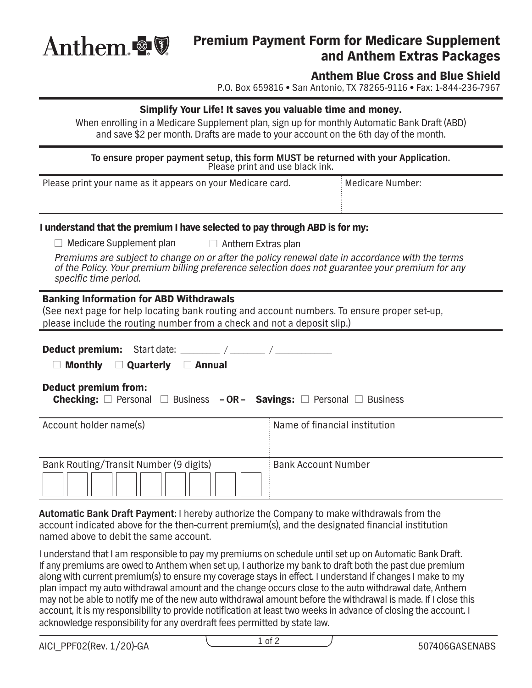

## Premium Payment Form for Medicare Supplement and Anthem Extras Packages

## Anthem Blue Cross and Blue Shield

P.O. Box 659816 **•** San Antonio, TX 78265-9116 **•** Fax: 1-844-236-7967

#### Simplify Your Life! It saves you valuable time and money.

When enrolling in a Medicare Supplement plan, sign up for monthly Automatic Bank Draft (ABD) and save \$2 per month. Drafts are made to your account on the 6th day of the month.

**To ensure proper payment setup, this form MUST be returned with your Application.** Please print and use black ink.

| Please print your name as it appears on your Medicare card. | Medicare Number: |
|-------------------------------------------------------------|------------------|
|                                                             |                  |
|                                                             |                  |

#### I understand that the premium I have selected to pay through ABD is for my:

□ Medicare Supplement plan  $\Box$  Anthem Extras plan

*Premiums are subject to change on or after the policy renewal date in accordance with the terms of the Policy. Your premium billing preference selection does not guarantee your premium for any specifc time period.* 

#### Banking Information for ABD Withdrawals

(See next page for help locating bank routing and account numbers. To ensure proper set-up, please include the routing number from a check and not a deposit slip.)

| <b>Deduct premium:</b> Start date: /<br><b>Monthly</b><br>$\Box$ Quarterly<br><b>Annual</b>                                     |                               |  |
|---------------------------------------------------------------------------------------------------------------------------------|-------------------------------|--|
| <b>Deduct premium from:</b><br><b>Checking:</b> $\Box$ Personal $\Box$ Business - OR - Savings: $\Box$ Personal $\Box$ Business |                               |  |
| Account holder name(s)                                                                                                          | Name of financial institution |  |
| Bank Routing/Transit Number (9 digits)                                                                                          | <b>Bank Account Number</b>    |  |

**Automatic Bank Draft Payment:** I hereby authorize the Company to make withdrawals from the account indicated above for the then-current premium(s), and the designated fnancial institution named above to debit the same account.

I understand that I am responsible to pay my premiums on schedule until set up on Automatic Bank Draft. If any premiums are owed to Anthem when set up, I authorize my bank to draft both the past due premium along with current premium(s) to ensure my coverage stays in effect. I understand if changes I make to my plan impact my auto withdrawal amount and the change occurs close to the auto withdrawal date, Anthem may not be able to notify me of the new auto withdrawal amount before the withdrawal is made. If I close this account, it is my responsibility to provide notification at least two weeks in advance of closing the account. I acknowledge responsibility for any overdraft fees permitted by state law.

AICI\_PPF02(Rev. 1/20)-GA